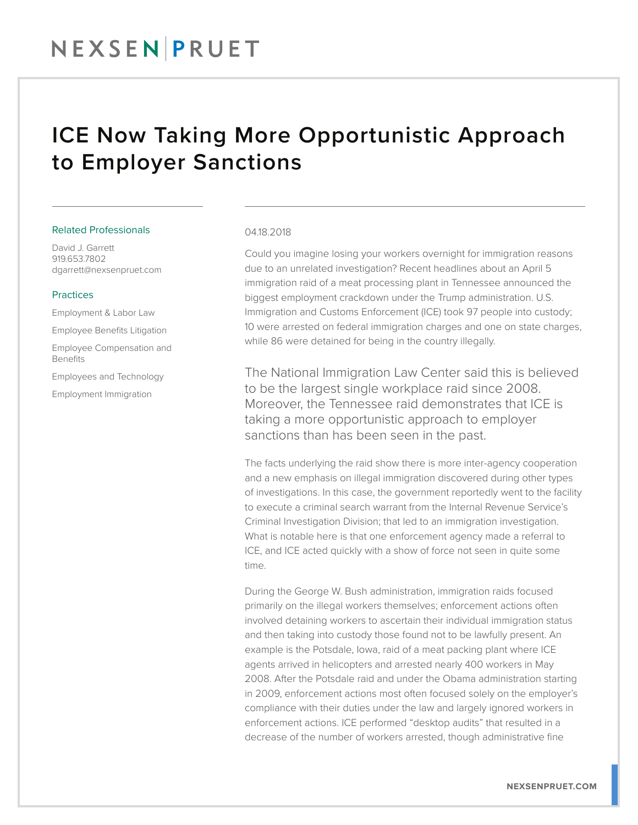# ICE Now Taking More Opportunistic Approach to Employer Sanctions

### Related Professionals

David J. Garrett 919.653.7802 dgarrett@nexsenpruet.com

## Practices

Employment & Labor Law Employee Benefits Litigation Employee Compensation and Benefits

Employees and Technology

Employment Immigration

#### 04.18.2018

Could you imagine losing your workers overnight for immigration reasons due to an unrelated investigation? Recent headlines about an April 5 immigration raid of a meat processing plant in Tennessee announced the biggest employment crackdown under the Trump administration. U.S. Immigration and Customs Enforcement (ICE) took 97 people into custody; 10 were arrested on federal immigration charges and one on state charges, while 86 were detained for being in the country illegally.

The National Immigration Law Center said this is believed to be the largest single workplace raid since 2008. Moreover, the Tennessee raid demonstrates that ICE is taking a more opportunistic approach to employer sanctions than has been seen in the past.

The facts underlying the raid show there is more inter-agency cooperation and a new emphasis on illegal immigration discovered during other types of investigations. In this case, the government reportedly went to the facility to execute a criminal search warrant from the Internal Revenue Service's Criminal Investigation Division; that led to an immigration investigation. What is notable here is that one enforcement agency made a referral to ICE, and ICE acted quickly with a show of force not seen in quite some time.

During the George W. Bush administration, immigration raids focused primarily on the illegal workers themselves; enforcement actions often involved detaining workers to ascertain their individual immigration status and then taking into custody those found not to be lawfully present. An example is the Potsdale, Iowa, raid of a meat packing plant where ICE agents arrived in helicopters and arrested nearly 400 workers in May 2008. After the Potsdale raid and under the Obama administration starting in 2009, enforcement actions most often focused solely on the employer's compliance with their duties under the law and largely ignored workers in enforcement actions. ICE performed "desktop audits" that resulted in a decrease of the number of workers arrested, though administrative fine